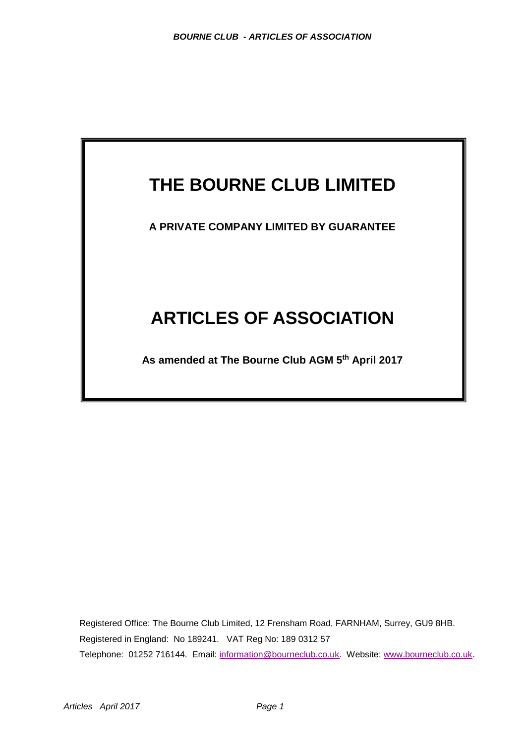# **THE BOURNE CLUB LIMITED**

**A PRIVATE COMPANY LIMITED BY GUARANTEE**

# **ARTICLES OF ASSOCIATION**

**As amended at The Bourne Club AGM 5 th April 2017**

Registered Office: The Bourne Club Limited, 12 Frensham Road, FARNHAM, Surrey, GU9 8HB. Registered in England: No 189241. VAT Reg No: 189 0312 57 Telephone: 01252 716144. Email: [information@bourneclub.co.uk.](mailto:info@bourneclub.co.uk) Website: www.bourneclub.co.uk.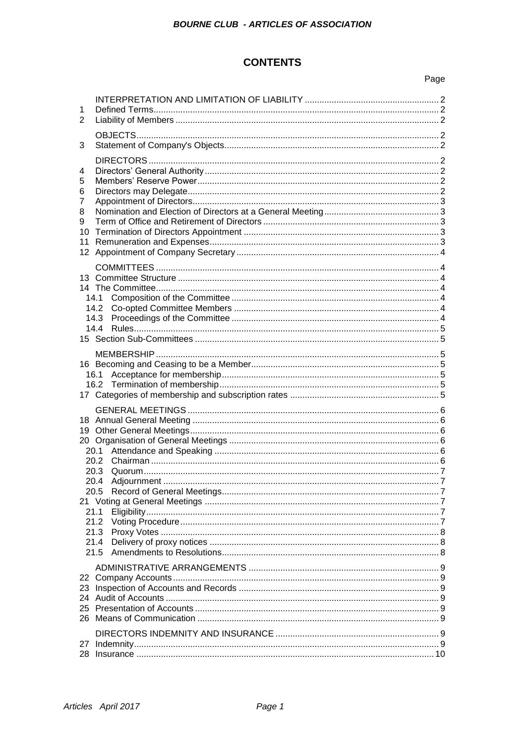# **CONTENTS**

# Page

| 1<br>$\overline{2}$                    |                                                      |  |
|----------------------------------------|------------------------------------------------------|--|
| 3                                      |                                                      |  |
| 4<br>5<br>6<br>7<br>8<br>9<br>10<br>11 |                                                      |  |
|                                        |                                                      |  |
|                                        |                                                      |  |
|                                        | 20.3<br>20.4<br>21.1<br>21.2<br>21.3<br>21.4<br>21.5 |  |
| 23<br>24<br>25<br>26                   |                                                      |  |
|                                        |                                                      |  |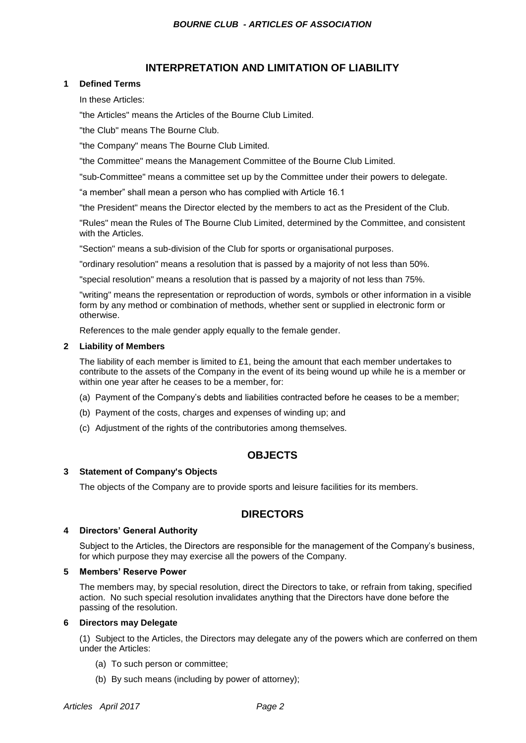# **INTERPRETATION AND LIMITATION OF LIABILITY**

# **1 Defined Terms**

In these Articles:

"the Articles" means the Articles of the Bourne Club Limited.

"the Club" means The Bourne Club.

"the Company" means The Bourne Club Limited.

"the Committee" means the Management Committee of the Bourne Club Limited.

"sub-Committee" means a committee set up by the Committee under their powers to delegate.

"a member" shall mean a person who has complied with Article 16.1

"the President" means the Director elected by the members to act as the President of the Club.

"Rules" mean the Rules of The Bourne Club Limited, determined by the Committee, and consistent with the Articles.

"Section" means a sub-division of the Club for sports or organisational purposes.

"ordinary resolution" means a resolution that is passed by a majority of not less than 50%.

"special resolution" means a resolution that is passed by a majority of not less than 75%.

"writing" means the representation or reproduction of words, symbols or other information in a visible form by any method or combination of methods, whether sent or supplied in electronic form or otherwise.

References to the male gender apply equally to the female gender.

# **2 Liability of Members**

The liability of each member is limited to £1, being the amount that each member undertakes to contribute to the assets of the Company in the event of its being wound up while he is a member or within one year after he ceases to be a member, for:

- (a) Payment of the Company's debts and liabilities contracted before he ceases to be a member;
- (b) Payment of the costs, charges and expenses of winding up; and
- (c) Adjustment of the rights of the contributories among themselves.

# **OBJECTS**

# **3 Statement of Company's Objects**

The objects of the Company are to provide sports and leisure facilities for its members.

# **DIRECTORS**

# **4 Directors' General Authority**

Subject to the Articles, the Directors are responsible for the management of the Company's business, for which purpose they may exercise all the powers of the Company.

# **5 Members' Reserve Power**

The members may, by special resolution, direct the Directors to take, or refrain from taking, specified action. No such special resolution invalidates anything that the Directors have done before the passing of the resolution.

# **6 Directors may Delegate**

(1) Subject to the Articles, the Directors may delegate any of the powers which are conferred on them under the Articles:

- (a) To such person or committee;
- (b) By such means (including by power of attorney);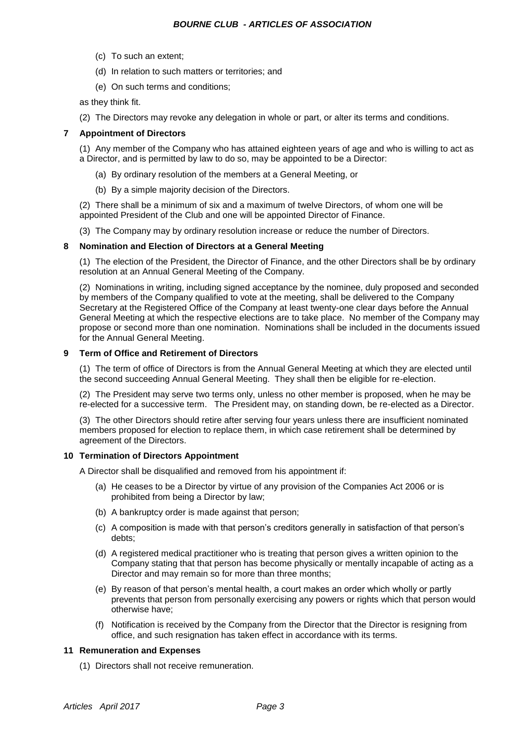- (c) To such an extent;
- (d) In relation to such matters or territories; and
- (e) On such terms and conditions;

as they think fit.

(2) The Directors may revoke any delegation in whole or part, or alter its terms and conditions.

# **7 Appointment of Directors**

(1) Any member of the Company who has attained eighteen years of age and who is willing to act as a Director, and is permitted by law to do so, may be appointed to be a Director:

- (a) By ordinary resolution of the members at a General Meeting, or
- (b) By a simple majority decision of the Directors.

(2) There shall be a minimum of six and a maximum of twelve Directors, of whom one will be appointed President of the Club and one will be appointed Director of Finance.

(3) The Company may by ordinary resolution increase or reduce the number of Directors.

# **8 Nomination and Election of Directors at a General Meeting**

(1) The election of the President, the Director of Finance, and the other Directors shall be by ordinary resolution at an Annual General Meeting of the Company.

(2) Nominations in writing, including signed acceptance by the nominee, duly proposed and seconded by members of the Company qualified to vote at the meeting, shall be delivered to the Company Secretary at the Registered Office of the Company at least twenty-one clear days before the Annual General Meeting at which the respective elections are to take place. No member of the Company may propose or second more than one nomination. Nominations shall be included in the documents issued for the Annual General Meeting.

# **9 Term of Office and Retirement of Directors**

(1) The term of office of Directors is from the Annual General Meeting at which they are elected until the second succeeding Annual General Meeting. They shall then be eligible for re-election.

(2) The President may serve two terms only, unless no other member is proposed, when he may be re-elected for a successive term. The President may, on standing down, be re-elected as a Director.

(3) The other Directors should retire after serving four years unless there are insufficient nominated members proposed for election to replace them, in which case retirement shall be determined by agreement of the Directors.

# **10 Termination of Directors Appointment**

A Director shall be disqualified and removed from his appointment if:

- (a) He ceases to be a Director by virtue of any provision of the Companies Act 2006 or is prohibited from being a Director by law;
- (b) A bankruptcy order is made against that person;
- (c) A composition is made with that person's creditors generally in satisfaction of that person's debts;
- (d) A registered medical practitioner who is treating that person gives a written opinion to the Company stating that that person has become physically or mentally incapable of acting as a Director and may remain so for more than three months;
- (e) By reason of that person's mental health, a court makes an order which wholly or partly prevents that person from personally exercising any powers or rights which that person would otherwise have;
- (f) Notification is received by the Company from the Director that the Director is resigning from office, and such resignation has taken effect in accordance with its terms.

# **11 Remuneration and Expenses**

(1) Directors shall not receive remuneration.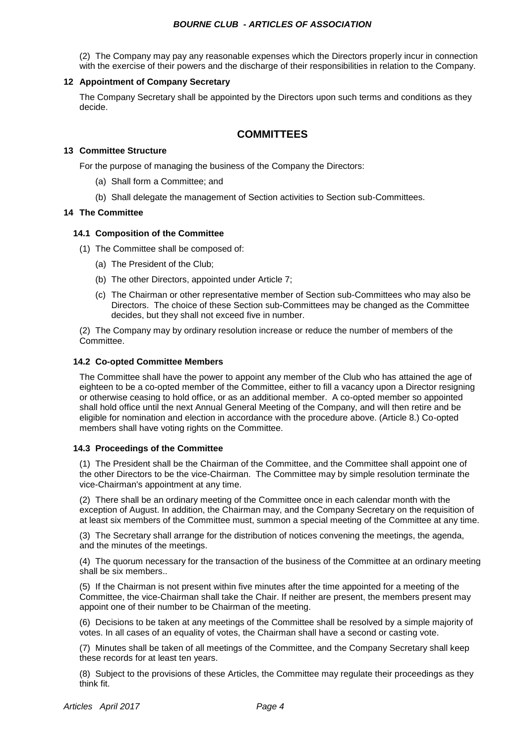# *BOURNE CLUB - ARTICLES OF ASSOCIATION*

(2) The Company may pay any reasonable expenses which the Directors properly incur in connection with the exercise of their powers and the discharge of their responsibilities in relation to the Company.

# **12 Appointment of Company Secretary**

The Company Secretary shall be appointed by the Directors upon such terms and conditions as they decide.

# **COMMITTEES**

# **13 Committee Structure**

For the purpose of managing the business of the Company the Directors:

- (a) Shall form a Committee; and
- (b) Shall delegate the management of Section activities to Section sub-Committees.

# **14 The Committee**

# **14.1 Composition of the Committee**

- (1) The Committee shall be composed of:
	- (a) The President of the Club;
	- (b) The other Directors, appointed under Article 7;
	- (c) The Chairman or other representative member of Section sub-Committees who may also be Directors. The choice of these Section sub-Committees may be changed as the Committee decides, but they shall not exceed five in number.

(2) The Company may by ordinary resolution increase or reduce the number of members of the Committee.

# **14.2 Co-opted Committee Members**

The Committee shall have the power to appoint any member of the Club who has attained the age of eighteen to be a co-opted member of the Committee, either to fill a vacancy upon a Director resigning or otherwise ceasing to hold office, or as an additional member. A co-opted member so appointed shall hold office until the next Annual General Meeting of the Company, and will then retire and be eligible for nomination and election in accordance with the procedure above. (Article 8.) Co-opted members shall have voting rights on the Committee.

# **14.3 Proceedings of the Committee**

(1) The President shall be the Chairman of the Committee, and the Committee shall appoint one of the other Directors to be the vice-Chairman. The Committee may by simple resolution terminate the vice-Chairman's appointment at any time.

(2) There shall be an ordinary meeting of the Committee once in each calendar month with the exception of August. In addition, the Chairman may, and the Company Secretary on the requisition of at least six members of the Committee must, summon a special meeting of the Committee at any time.

(3) The Secretary shall arrange for the distribution of notices convening the meetings, the agenda, and the minutes of the meetings.

(4) The quorum necessary for the transaction of the business of the Committee at an ordinary meeting shall be six members..

(5) If the Chairman is not present within five minutes after the time appointed for a meeting of the Committee, the vice-Chairman shall take the Chair. If neither are present, the members present may appoint one of their number to be Chairman of the meeting.

(6) Decisions to be taken at any meetings of the Committee shall be resolved by a simple majority of votes. In all cases of an equality of votes, the Chairman shall have a second or casting vote.

(7) Minutes shall be taken of all meetings of the Committee, and the Company Secretary shall keep these records for at least ten years.

(8) Subject to the provisions of these Articles, the Committee may regulate their proceedings as they think fit.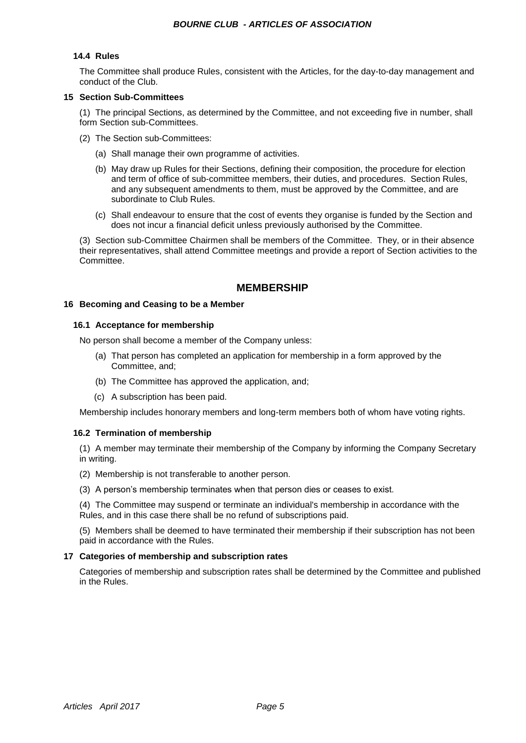# **14.4 Rules**

The Committee shall produce Rules, consistent with the Articles, for the day-to-day management and conduct of the Club.

# **15 Section Sub-Committees**

(1) The principal Sections, as determined by the Committee, and not exceeding five in number, shall form Section sub-Committees.

- (2) The Section sub-Committees:
	- (a) Shall manage their own programme of activities.
	- (b) May draw up Rules for their Sections, defining their composition, the procedure for election and term of office of sub-committee members, their duties, and procedures. Section Rules, and any subsequent amendments to them, must be approved by the Committee, and are subordinate to Club Rules.
	- (c) Shall endeavour to ensure that the cost of events they organise is funded by the Section and does not incur a financial deficit unless previously authorised by the Committee.

(3) Section sub-Committee Chairmen shall be members of the Committee. They, or in their absence their representatives, shall attend Committee meetings and provide a report of Section activities to the Committee.

# **MEMBERSHIP**

# **16 Becoming and Ceasing to be a Member**

# **16.1 Acceptance for membership**

No person shall become a member of the Company unless:

- (a) That person has completed an application for membership in a form approved by the Committee, and;
- (b) The Committee has approved the application, and;
- (c) A subscription has been paid.

Membership includes honorary members and long-term members both of whom have voting rights.

# **16.2 Termination of membership**

(1) A member may terminate their membership of the Company by informing the Company Secretary in writing.

- (2) Membership is not transferable to another person.
- (3) A person's membership terminates when that person dies or ceases to exist.

(4) The Committee may suspend or terminate an individual's membership in accordance with the Rules, and in this case there shall be no refund of subscriptions paid.

(5) Members shall be deemed to have terminated their membership if their subscription has not been paid in accordance with the Rules.

# **17 Categories of membership and subscription rates**

Categories of membership and subscription rates shall be determined by the Committee and published in the Rules.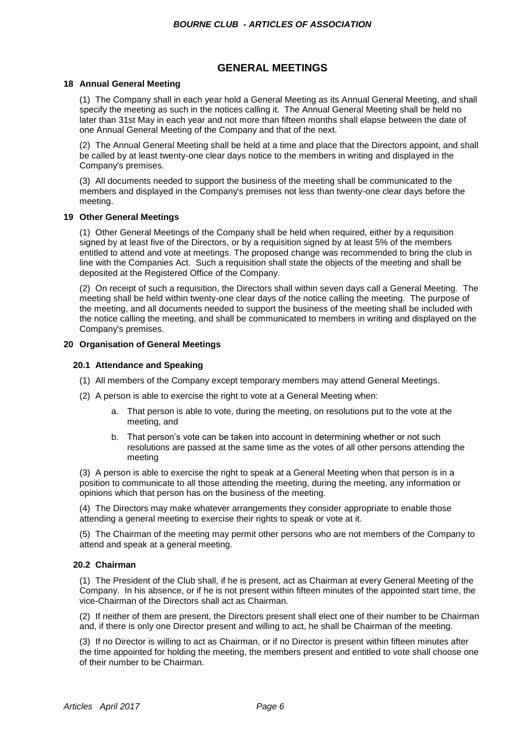# **GENERAL MEETINGS**

# **18 Annual General Meeting**

(1) The Company shall in each year hold a General Meeting as its Annual General Meeting, and shall specify the meeting as such in the notices calling it. The Annual General Meeting shall be held no later than 31st May in each year and not more than fifteen months shall elapse between the date of one Annual General Meeting of the Company and that of the next.

(2) The Annual General Meeting shall be held at a time and place that the Directors appoint, and shall be called by at least twenty-one clear days notice to the members in writing and displayed in the Company's premises.

(3) All documents needed to support the business of the meeting shall be communicated to the members and displayed in the Company's premises not less than twenty-one clear days before the meeting.

# **19 Other General Meetings**

(1) Other General Meetings of the Company shall be held when required, either by a requisition signed by at least five of the Directors, or by a requisition signed by at least 5% of the members entitled to attend and vote at meetings. The proposed change was recommended to bring the club in line with the Companies Act. Such a requisition shall state the objects of the meeting and shall be deposited at the Registered Office of the Company.

(2) On receipt of such a requisition, the Directors shall within seven days call a General Meeting. The meeting shall be held within twenty-one clear days of the notice calling the meeting. The purpose of the meeting, and all documents needed to support the business of the meeting shall be included with the notice calling the meeting, and shall be communicated to members in writing and displayed on the Company's premises.

# **20 Organisation of General Meetings**

# **20.1 Attendance and Speaking**

- (1) All members of the Company except temporary members may attend General Meetings.
- (2) A person is able to exercise the right to vote at a General Meeting when:
	- a. That person is able to vote, during the meeting, on resolutions put to the vote at the meeting, and
	- b. That person's vote can be taken into account in determining whether or not such resolutions are passed at the same time as the votes of all other persons attending the meeting

(3) A person is able to exercise the right to speak at a General Meeting when that person is in a position to communicate to all those attending the meeting, during the meeting, any information or opinions which that person has on the business of the meeting.

(4) The Directors may make whatever arrangements they consider appropriate to enable those attending a general meeting to exercise their rights to speak or vote at it.

(5) The Chairman of the meeting may permit other persons who are not members of the Company to attend and speak at a general meeting.

# **20.2 Chairman**

(1) The President of the Club shall, if he is present, act as Chairman at every General Meeting of the Company. In his absence, or if he is not present within fifteen minutes of the appointed start time, the vice-Chairman of the Directors shall act as Chairman.

(2) If neither of them are present, the Directors present shall elect one of their number to be Chairman and, if there is only one Director present and willing to act, he shall be Chairman of the meeting.

(3) If no Director is willing to act as Chairman, or if no Director is present within fifteen minutes after the time appointed for holding the meeting, the members present and entitled to vote shall choose one of their number to be Chairman.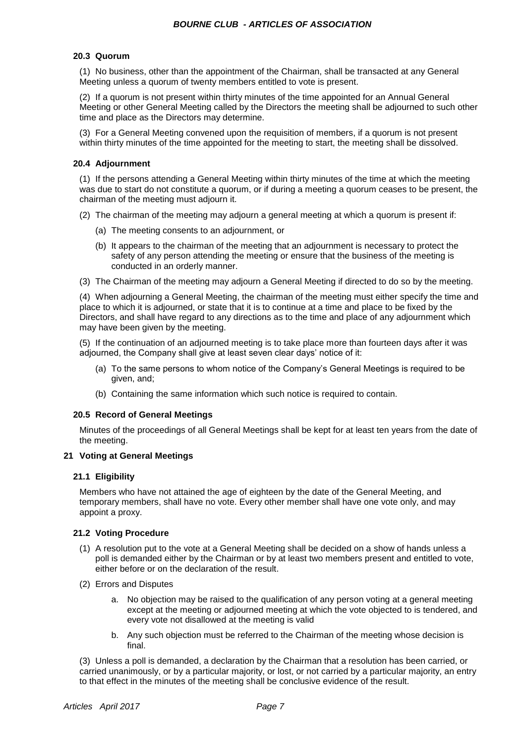# **20.3 Quorum**

(1) No business, other than the appointment of the Chairman, shall be transacted at any General Meeting unless a quorum of twenty members entitled to vote is present.

(2) If a quorum is not present within thirty minutes of the time appointed for an Annual General Meeting or other General Meeting called by the Directors the meeting shall be adjourned to such other time and place as the Directors may determine.

(3) For a General Meeting convened upon the requisition of members, if a quorum is not present within thirty minutes of the time appointed for the meeting to start, the meeting shall be dissolved.

# **20.4 Adjournment**

(1) If the persons attending a General Meeting within thirty minutes of the time at which the meeting was due to start do not constitute a quorum, or if during a meeting a quorum ceases to be present, the chairman of the meeting must adjourn it.

- (2) The chairman of the meeting may adjourn a general meeting at which a quorum is present if:
	- (a) The meeting consents to an adjournment, or
	- (b) It appears to the chairman of the meeting that an adjournment is necessary to protect the safety of any person attending the meeting or ensure that the business of the meeting is conducted in an orderly manner.
- (3) The Chairman of the meeting may adjourn a General Meeting if directed to do so by the meeting.

(4) When adjourning a General Meeting, the chairman of the meeting must either specify the time and place to which it is adjourned, or state that it is to continue at a time and place to be fixed by the Directors, and shall have regard to any directions as to the time and place of any adjournment which may have been given by the meeting.

(5) If the continuation of an adjourned meeting is to take place more than fourteen days after it was adjourned, the Company shall give at least seven clear days' notice of it:

- (a) To the same persons to whom notice of the Company's General Meetings is required to be given, and;
- (b) Containing the same information which such notice is required to contain.

# **20.5 Record of General Meetings**

Minutes of the proceedings of all General Meetings shall be kept for at least ten years from the date of the meeting.

# **21 Voting at General Meetings**

# **21.1 Eligibility**

Members who have not attained the age of eighteen by the date of the General Meeting, and temporary members, shall have no vote. Every other member shall have one vote only, and may appoint a proxy.

# **21.2 Voting Procedure**

- (1) A resolution put to the vote at a General Meeting shall be decided on a show of hands unless a poll is demanded either by the Chairman or by at least two members present and entitled to vote, either before or on the declaration of the result.
- (2) Errors and Disputes
	- a. No objection may be raised to the qualification of any person voting at a general meeting except at the meeting or adjourned meeting at which the vote objected to is tendered, and every vote not disallowed at the meeting is valid
	- b. Any such objection must be referred to the Chairman of the meeting whose decision is final.

(3) Unless a poll is demanded, a declaration by the Chairman that a resolution has been carried, or carried unanimously, or by a particular majority, or lost, or not carried by a particular majority, an entry to that effect in the minutes of the meeting shall be conclusive evidence of the result.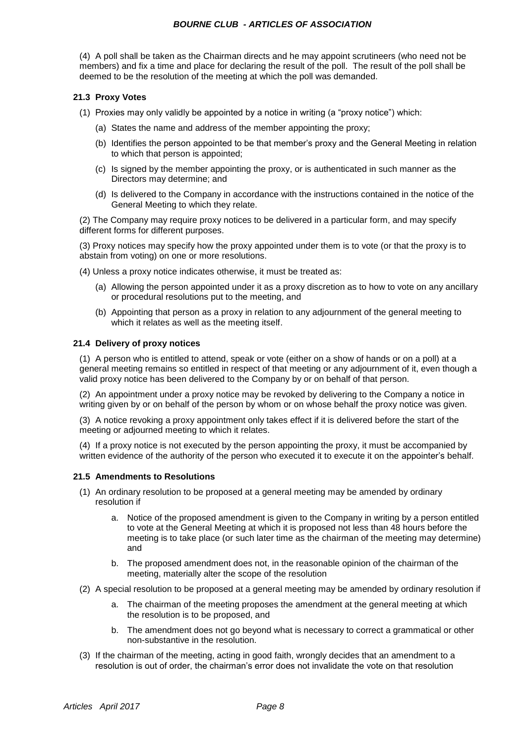# *BOURNE CLUB - ARTICLES OF ASSOCIATION*

(4) A poll shall be taken as the Chairman directs and he may appoint scrutineers (who need not be members) and fix a time and place for declaring the result of the poll. The result of the poll shall be deemed to be the resolution of the meeting at which the poll was demanded.

# **21.3 Proxy Votes**

- (1) Proxies may only validly be appointed by a notice in writing (a "proxy notice") which:
	- (a) States the name and address of the member appointing the proxy;
	- (b) Identifies the person appointed to be that member's proxy and the General Meeting in relation to which that person is appointed;
	- (c) Is signed by the member appointing the proxy, or is authenticated in such manner as the Directors may determine; and
	- (d) Is delivered to the Company in accordance with the instructions contained in the notice of the General Meeting to which they relate.

(2) The Company may require proxy notices to be delivered in a particular form, and may specify different forms for different purposes.

(3) Proxy notices may specify how the proxy appointed under them is to vote (or that the proxy is to abstain from voting) on one or more resolutions.

- (4) Unless a proxy notice indicates otherwise, it must be treated as:
	- (a) Allowing the person appointed under it as a proxy discretion as to how to vote on any ancillary or procedural resolutions put to the meeting, and
	- (b) Appointing that person as a proxy in relation to any adjournment of the general meeting to which it relates as well as the meeting itself.

# **21.4 Delivery of proxy notices**

(1) A person who is entitled to attend, speak or vote (either on a show of hands or on a poll) at a general meeting remains so entitled in respect of that meeting or any adjournment of it, even though a valid proxy notice has been delivered to the Company by or on behalf of that person.

(2) An appointment under a proxy notice may be revoked by delivering to the Company a notice in writing given by or on behalf of the person by whom or on whose behalf the proxy notice was given.

(3) A notice revoking a proxy appointment only takes effect if it is delivered before the start of the meeting or adjourned meeting to which it relates.

(4) If a proxy notice is not executed by the person appointing the proxy, it must be accompanied by written evidence of the authority of the person who executed it to execute it on the appointer's behalf.

# **21.5 Amendments to Resolutions**

- (1) An ordinary resolution to be proposed at a general meeting may be amended by ordinary resolution if
	- a. Notice of the proposed amendment is given to the Company in writing by a person entitled to vote at the General Meeting at which it is proposed not less than 48 hours before the meeting is to take place (or such later time as the chairman of the meeting may determine) and
	- b. The proposed amendment does not, in the reasonable opinion of the chairman of the meeting, materially alter the scope of the resolution
- (2) A special resolution to be proposed at a general meeting may be amended by ordinary resolution if
	- a. The chairman of the meeting proposes the amendment at the general meeting at which the resolution is to be proposed, and
	- b. The amendment does not go beyond what is necessary to correct a grammatical or other non-substantive in the resolution.
- (3) If the chairman of the meeting, acting in good faith, wrongly decides that an amendment to a resolution is out of order, the chairman's error does not invalidate the vote on that resolution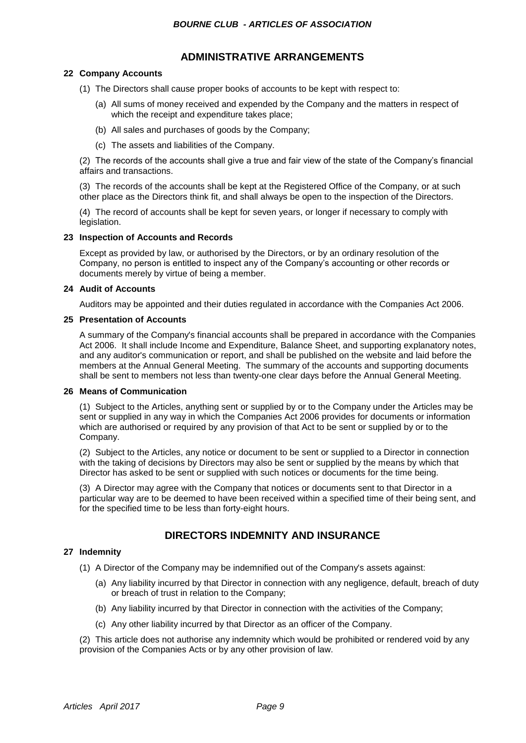# **ADMINISTRATIVE ARRANGEMENTS**

# **22 Company Accounts**

- (1) The Directors shall cause proper books of accounts to be kept with respect to:
	- (a) All sums of money received and expended by the Company and the matters in respect of which the receipt and expenditure takes place;
	- (b) All sales and purchases of goods by the Company;
	- (c) The assets and liabilities of the Company.

(2) The records of the accounts shall give a true and fair view of the state of the Company's financial affairs and transactions.

(3) The records of the accounts shall be kept at the Registered Office of the Company, or at such other place as the Directors think fit, and shall always be open to the inspection of the Directors.

(4) The record of accounts shall be kept for seven years, or longer if necessary to comply with legislation.

# **23 Inspection of Accounts and Records**

Except as provided by law, or authorised by the Directors, or by an ordinary resolution of the Company, no person is entitled to inspect any of the Company's accounting or other records or documents merely by virtue of being a member.

# **24 Audit of Accounts**

Auditors may be appointed and their duties regulated in accordance with the Companies Act 2006.

# **25 Presentation of Accounts**

A summary of the Company's financial accounts shall be prepared in accordance with the Companies Act 2006. It shall include Income and Expenditure, Balance Sheet, and supporting explanatory notes, and any auditor's communication or report, and shall be published on the website and laid before the members at the Annual General Meeting. The summary of the accounts and supporting documents shall be sent to members not less than twenty-one clear days before the Annual General Meeting.

# **26 Means of Communication**

(1) Subject to the Articles, anything sent or supplied by or to the Company under the Articles may be sent or supplied in any way in which the Companies Act 2006 provides for documents or information which are authorised or required by any provision of that Act to be sent or supplied by or to the Company.

(2) Subject to the Articles, any notice or document to be sent or supplied to a Director in connection with the taking of decisions by Directors may also be sent or supplied by the means by which that Director has asked to be sent or supplied with such notices or documents for the time being.

(3) A Director may agree with the Company that notices or documents sent to that Director in a particular way are to be deemed to have been received within a specified time of their being sent, and for the specified time to be less than forty-eight hours.

# **DIRECTORS INDEMNITY AND INSURANCE**

# **27 Indemnity**

- (1) A Director of the Company may be indemnified out of the Company's assets against:
	- (a) Any liability incurred by that Director in connection with any negligence, default, breach of duty or breach of trust in relation to the Company;
	- (b) Any liability incurred by that Director in connection with the activities of the Company;
	- (c) Any other liability incurred by that Director as an officer of the Company.

(2) This article does not authorise any indemnity which would be prohibited or rendered void by any provision of the Companies Acts or by any other provision of law.